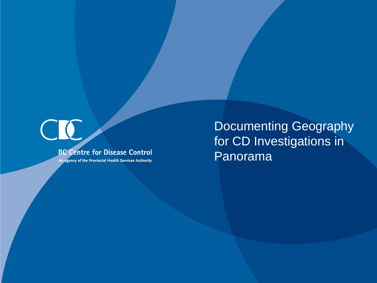## **BC Centre for Disease Control**

An agency of the Provincial Health Services Authority

Documenting Geography for CD Investigations in Panorama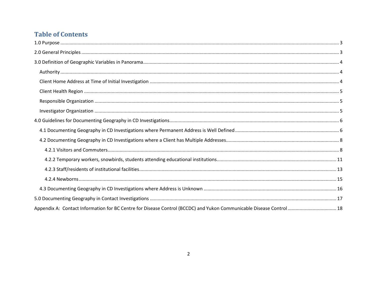# **Table of Contents**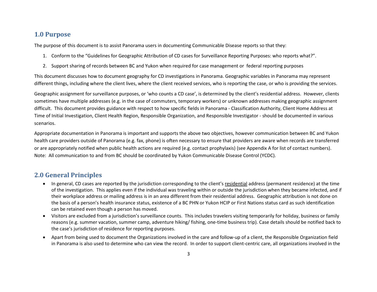## <span id="page-2-0"></span>**1.0 Purpose**

The purpose of this document is to assist Panorama users in documenting Communicable Disease reports so that they:

- 1. Conform to the "Guidelines for Geographic Attribution of CD cases for Surveillance Reporting Purposes: who reports what?".
- 2. Support sharing of records between BC and Yukon when required for case management or federal reporting purposes

This document discusses how to document geography for CD investigations in Panorama. Geographic variables in Panorama may represent different things, including where the client lives, where the client received services, who is reporting the case, or who is providing the services.

Geographic assignment for surveillance purposes, or 'who counts a CD case', is determined by the client's residential address. However, clients sometimes have multiple addresses (e.g. in the case of commuters, temporary workers) or unknown addresses making geographic assignment difficult. This document provides guidance with respect to how specific fields in Panorama - Classification Authority, Client Home Address at Time of Initial Investigation, Client Health Region, Responsible Organization, and Responsible Investigator - should be documented in various scenarios.

Appropriate documentation in Panorama is important and supports the above two objectives, however communication between BC and Yukon health care providers outside of Panorama (e.g. fax, phone) is often necessary to ensure that providers are aware when records are transferred or are appropriately notified when public health actions are required (e.g. contact prophylaxis) (see Appendix A for list of contact numbers). Note: All communication to and from BC should be coordinated by Yukon Communicable Disease Control (YCDC).

# <span id="page-2-1"></span>**2.0 General Principles**

- In general, CD cases are reported by the jurisdiction corresponding to the client's residential address (permanent residence) at the time of the investigation. This applies even if the individual was traveling within or outside the jurisdiction when they became infected, and if their workplace address or mailing address is in an area different from their residential address. Geographic attribution is not done on the basis of a person's health insurance status, existence of a BC PHN or Yukon HCIP or First Nations status card as such identification can be retained even though a person has moved.
- Visitors are excluded from a jurisdiction's surveillance counts. This includes travelers visiting temporarily for holiday, business or family reasons (e.g. summer vacation, summer camp, adventure hiking/ fishing, one-time business trip). Case details should be notified back to the case's jurisdiction of residence for reporting purposes.
- Apart from being used to document the Organizations involved in the care and follow-up of a client, the Responsible Organization field in Panorama is also used to determine who can view the record. In order to support client-centric care, all organizations involved in the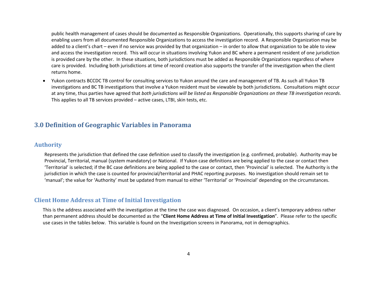public health management of cases should be documented as Responsible Organizations. Operationally, this supports sharing of care by enabling users from all documented Responsible Organizations to access the investigation record. A Responsible Organization may be added to a client's chart – even if no service was provided by that organization – in order to allow that organization to be able to view and access the investigation record. This will occur in situations involving Yukon and BC where a permanent resident of one jurisdiction is provided care by the other. In these situations, both jurisdictions must be added as Responsible Organizations regardless of where care is provided. Including both jurisdictions at time of record creation also supports the transfer of the investigation when the client returns home.

• Yukon contracts BCCDC TB control for consulting services to Yukon around the care and management of TB. As such all Yukon TB investigations and BC TB investigations that involve a Yukon resident must be viewable by both jurisdictions. Consultations might occur at any time, thus parties have agreed that *both jurisdictions will be listed as Responsible Organizations on these TB investigation records*. This applies to all TB services provided – active cases, LTBI, skin tests, etc.

## <span id="page-3-0"></span>**3.0 Definition of Geographic Variables in Panorama**

#### <span id="page-3-1"></span>**Authority**

Represents the jurisdiction that defined the case definition used to classify the investigation (e.g. confirmed, probable). Authority may be Provincial, Territorial, manual (system mandatory) or National. If Yukon case definitions are being applied to the case or contact then 'Territorial' is selected; if the BC case definitions are being applied to the case or contact, then 'Provincial' is selected. The Authority is the jurisdiction in which the case is counted for provincial/territorial and PHAC reporting purposes. No investigation should remain set to 'manual'; the value for 'Authority' must be updated from manual to either 'Territorial' or 'Provincial' depending on the circumstances.

## <span id="page-3-2"></span>**Client Home Address at Time of Initial Investigation**

This is the address associated with the investigation at the time the case was diagnosed. On occasion, a client's temporary address rather than permanent address should be documented as the "**Client Home Address at Time of Initial Investigation**". Please refer to the specific use cases in the tables below. This variable is found on the Investigation screens in Panorama, not in demographics.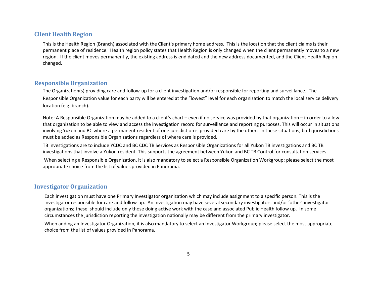## <span id="page-4-0"></span>**Client Health Region**

This is the Health Region (Branch) associated with the Client's primary home address. This is the location that the client claims is their permanent place of residence. Health region policy states that Health Region is only changed when the client permanently moves to a new region. If the client moves permanently, the existing address is end dated and the new address documented, and the Client Health Region changed.

## <span id="page-4-1"></span>**Responsible Organization**

The Organization(s) providing care and follow-up for a client investigation and/or responsible for reporting and surveillance. The Responsible Organization value for each party will be entered at the "lowest" level for each organization to match the local service delivery location (e.g. branch).

Note: A Responsible Organization may be added to a client's chart – even if no service was provided by that organization – in order to allow that organization to be able to view and access the investigation record for surveillance and reporting purposes. This will occur in situations involving Yukon and BC where a permanent resident of one jurisdiction is provided care by the other. In these situations, both jurisdictions must be added as Responsible Organizations regardless of where care is provided.

TB investigations are to include YCDC and BC CDC TB Services as Responsible Organizations for all Yukon TB investigations and BC TB investigations that involve a Yukon resident. This supports the agreement between Yukon and BC TB Control for consultation services.

When selecting a Responsible Organization, it is also mandatory to select a Responsible Organization Workgroup; please select the most appropriate choice from the list of values provided in Panorama.

## <span id="page-4-2"></span>**Investigator Organization**

Each investigation must have one Primary Investigator organization which may include assignment to a specific person. This is the investigator responsible for care and follow-up. An investigation may have several secondary investigators and/or 'other' investigator organizations; these should include only those doing active work with the case and associated Public Health follow up. In some circumstances the jurisdiction reporting the investigation nationally may be different from the primary investigator.

When adding an Investigator Organization, it is also mandatory to select an Investigator Workgroup; please select the most appropriate choice from the list of values provided in Panorama.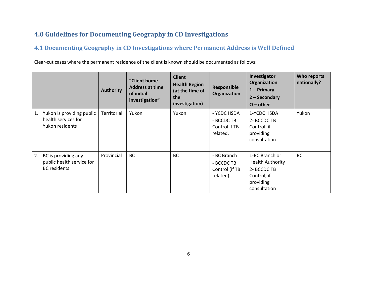# <span id="page-5-0"></span>**4.0 Guidelines for Documenting Geography in CD Investigations**

# <span id="page-5-1"></span>**4.1 Documenting Geography in CD Investigations where Permanent Address is Well Defined**

Clear-cut cases where the permanent residence of the client is known should be documented as follows:

|                                                                               | <b>Authority</b> | "Client home"<br><b>Address at time</b><br>of initial<br>investigation" | <b>Client</b><br><b>Health Region</b><br>(at the time of<br>the<br>investigation) | Responsible<br>Organization                             | Investigator<br>Organization<br>$1 - Primary$<br>$2 -$ Secondary<br>$O$ – other                      | Who reports<br>nationally? |
|-------------------------------------------------------------------------------|------------------|-------------------------------------------------------------------------|-----------------------------------------------------------------------------------|---------------------------------------------------------|------------------------------------------------------------------------------------------------------|----------------------------|
| Yukon is providing public<br>1.<br>health services for<br>Yukon residents     | Territorial      | Yukon                                                                   | Yukon                                                                             | - YCDC HSDA<br>- BCCDC TB<br>Control if TB<br>related.  | 1-YCDC HSDA<br>2- BCCDC TB<br>Control, if<br>providing<br>consultation                               | Yukon                      |
| BC is providing any<br>2.<br>public health service for<br><b>BC</b> residents | Provincial       | <b>BC</b>                                                               | <b>BC</b>                                                                         | - BC Branch<br>- BCCDC TB<br>Control (if TB<br>related) | 1-BC Branch or<br><b>Health Authority</b><br>2- BCCDC TB<br>Control, if<br>providing<br>consultation | <b>BC</b>                  |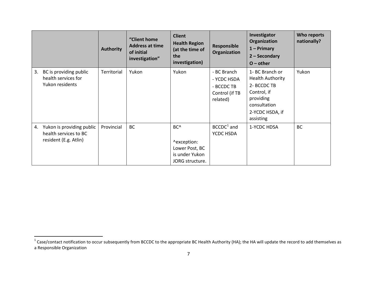<span id="page-6-1"></span><span id="page-6-0"></span>

|    |                                                                             | <b>Authority</b> | "Client home<br><b>Address at time</b><br>of initial<br>investigation" | <b>Client</b><br><b>Health Region</b><br>(at the time of<br>the<br>investigation)     | Responsible<br>Organization                                            | Investigator<br>Organization<br>$1 - Primary$<br>2 - Secondary<br>$O$ – other                                                         | Who reports<br>nationally? |
|----|-----------------------------------------------------------------------------|------------------|------------------------------------------------------------------------|---------------------------------------------------------------------------------------|------------------------------------------------------------------------|---------------------------------------------------------------------------------------------------------------------------------------|----------------------------|
| 3. | BC is providing public<br>health services for<br>Yukon residents            | Territorial      | Yukon                                                                  | Yukon                                                                                 | - BC Branch<br>- YCDC HSDA<br>- BCCDC TB<br>Control (if TB<br>related) | 1- BC Branch or<br><b>Health Authority</b><br>2- BCCDC TB<br>Control, if<br>providing<br>consultation<br>2-YCDC HSDA, if<br>assisting | Yukon                      |
| 4. | Yukon is providing public<br>health services to BC<br>resident (E.g. Atlin) | Provincial       | <b>BC</b>                                                              | BC <sup>^</sup><br>^exception:<br>Lower Post, BC<br>is under Yukon<br>JORG structure. | $BCCDC1$ and<br>YCDC HSDA                                              | 1-YCDC HDSA                                                                                                                           | <b>BC</b>                  |

 $\overline{\phantom{a}}$ 

<sup>&</sup>lt;sup>1</sup> Case/contact notification to occur subsequently from BCCDC to the appropriate BC Health Authority (HA); the HA will update the record to add themselves as a Responsible Organization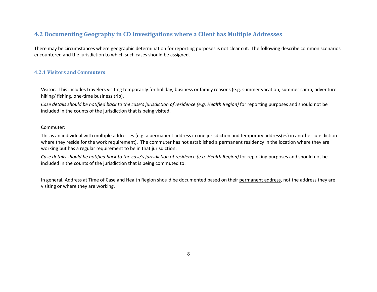## <span id="page-7-0"></span>**4.2 Documenting Geography in CD Investigations where a Client has Multiple Addresses**

There may be circumstances where geographic determination for reporting purposes is not clear cut. The following describe common scenarios encountered and the jurisdiction to which such cases should be assigned.

#### <span id="page-7-1"></span>**4.2.1 Visitors and Commuters**

Visitor: This includes travelers visiting temporarily for holiday, business or family reasons (e.g. summer vacation, summer camp, adventure hiking/ fishing, one-time business trip).

*Case details should be notified back to the case's jurisdiction of residence (e.g. Health Region)* for reporting purposes and should not be included in the counts of the jurisdiction that is being visited.

#### Commuter:

This is an individual with multiple addresses (e.g. a permanent address in one jurisdiction and temporary address(es) in another jurisdiction where they reside for the work requirement). The commuter has not established a permanent residency in the location where they are working but has a regular requirement to be in that jurisdiction.

*Case details should be notified back to the case's jurisdiction of residence (e.g. Health Region)* for reporting purposes and should not be included in the counts of the jurisdiction that is being commuted to.

In general, Address at Time of Case and Health Region should be documented based on their permanent address, not the address they are visiting or where they are working.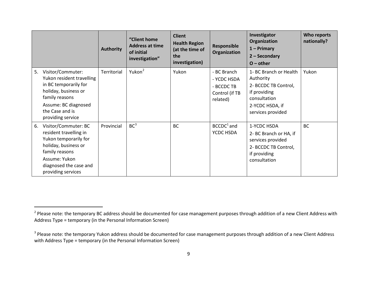<span id="page-8-1"></span><span id="page-8-0"></span>

|    |                                                                                                                                                                                    | <b>Authority</b> | "Client home<br><b>Address at time</b><br>of initial<br>investigation" | <b>Client</b><br><b>Health Region</b><br>(at the time of<br>the<br>investigation) | <b>Responsible</b><br>Organization                                     | Investigator<br>Organization<br>$1 - Primary$<br>$2 -$ Secondary<br>$O$ – other                                                     | Who reports<br>nationally? |
|----|------------------------------------------------------------------------------------------------------------------------------------------------------------------------------------|------------------|------------------------------------------------------------------------|-----------------------------------------------------------------------------------|------------------------------------------------------------------------|-------------------------------------------------------------------------------------------------------------------------------------|----------------------------|
| 5. | Visitor/Commuter:<br>Yukon resident travelling<br>in BC temporarily for<br>holiday, business or<br>family reasons<br>Assume: BC diagnosed<br>the Case and is<br>providing service  | Territorial      | Yukon <sup>2</sup>                                                     | Yukon                                                                             | - BC Branch<br>- YCDC HSDA<br>- BCCDC TB<br>Control (if TB<br>related) | 1- BC Branch or Health<br>Authority<br>2- BCCDC TB Control,<br>if providing<br>consultation<br>2-YCDC HSDA, if<br>services provided | Yukon                      |
| 6. | Visitor/Commuter: BC<br>resident travelling in<br>Yukon temporarily for<br>holiday, business or<br>family reasons<br>Assume: Yukon<br>diagnosed the case and<br>providing services | Provincial       | BC <sup>3</sup>                                                        | <b>BC</b>                                                                         | $BCCDC1$ and<br>YCDC HSDA                                              | 1-YCDC HSDA<br>2- BC Branch or HA, if<br>services provided<br>2- BCCDC TB Control,<br>if providing<br>consultation                  | <b>BC</b>                  |

 $\overline{\phantom{a}}$ 

<sup>&</sup>lt;sup>2</sup> Please note: the temporary BC address should be documented for case management purposes through addition of a new Client Address with Address Type = temporary (in the Personal Information Screen)

<sup>&</sup>lt;sup>3</sup> Please note: the temporary Yukon address should be documented for case management purposes through addition of a new Client Address with Address Type = temporary (in the Personal Information Screen)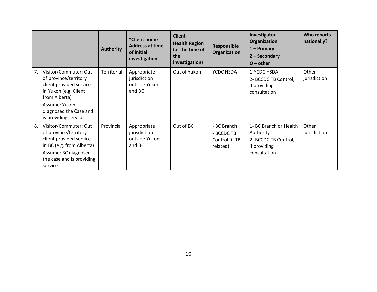|    |                                                                                                                                                                                        | <b>Authority</b> | "Client home<br><b>Address at time</b><br>of initial<br>investigation" | <b>Client</b><br><b>Health Region</b><br>(at the time of<br>the<br>investigation) | Responsible<br>Organization                             | Investigator<br>Organization<br>$1 - Primary$<br>$2 -$ Secondary<br>$O$ – other             | Who reports<br>nationally? |
|----|----------------------------------------------------------------------------------------------------------------------------------------------------------------------------------------|------------------|------------------------------------------------------------------------|-----------------------------------------------------------------------------------|---------------------------------------------------------|---------------------------------------------------------------------------------------------|----------------------------|
| 7. | Visitor/Commuter: Out<br>of province/territory<br>client provided service<br>in Yukon (e.g. Client<br>from Alberta)<br>Assume: Yukon<br>diagnosed the Case and<br>is providing service | Territorial      | Appropriate<br>jurisdiction<br>outside Yukon<br>and BC                 | Out of Yukon                                                                      | YCDC HSDA                                               | 1-YCDC HSDA<br>2- BCCDC TB Control,<br>if providing<br>consultation                         | Other<br>jurisdiction      |
| 8. | Visitor/Commuter: Out<br>of province/territory<br>client provided service<br>in BC (e.g. from Alberta)<br>Assume: BC diagnosed<br>the case and is providing<br>service                 | Provincial       | Appropriate<br>jurisdiction<br>outside Yukon<br>and BC                 | Out of BC                                                                         | - BC Branch<br>- BCCDC TB<br>Control (if TB<br>related) | 1- BC Branch or Health<br>Authority<br>2- BCCDC TB Control,<br>if providing<br>consultation | Other<br>jurisdiction      |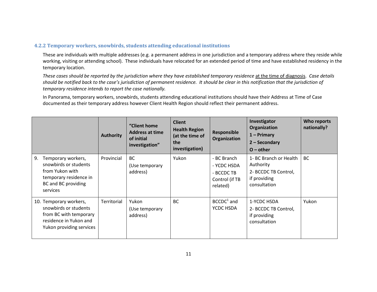#### <span id="page-10-0"></span>**4.2.2 Temporary workers, snowbirds, students attending educational institutions**

These are individuals with multiple addresses (e.g. a permanent address in one jurisdiction and a temporary address where they reside while working, visiting or attending school). These individuals have relocated for an extended period of time and have established residency in the temporary location.

*These cases should be reported by the jurisdiction where they have established temporary residence* at the time of diagnosis. *Case details should be notified back to the case's jurisdiction of permanent residence. It should be clear in this notification that the jurisdiction of temporary residence intends to report the case nationally.* 

In Panorama, temporary workers, snowbirds, students attending educational institutions should have their Address at Time of Case documented as their temporary address however Client Health Region should reflect their permanent address.

|    |                                                                                                                                 | <b>Authority</b> | "Client home<br><b>Address at time</b><br>of initial<br>investigation" | <b>Client</b><br><b>Health Region</b><br>(at the time of<br>the<br>investigation) | <b>Responsible</b><br>Organization                                     | Investigator<br>Organization<br>$1 - Primary$<br>$2 -$ Secondary<br>$O$ – other             | <b>Who reports</b><br>nationally? |
|----|---------------------------------------------------------------------------------------------------------------------------------|------------------|------------------------------------------------------------------------|-----------------------------------------------------------------------------------|------------------------------------------------------------------------|---------------------------------------------------------------------------------------------|-----------------------------------|
| 9. | Temporary workers,<br>snowbirds or students<br>from Yukon with<br>temporary residence in<br>BC and BC providing<br>services     | Provincial       | <b>BC</b><br>(Use temporary<br>address)                                | Yukon                                                                             | - BC Branch<br>- YCDC HSDA<br>- BCCDC TB<br>Control (if TB<br>related) | 1- BC Branch or Health<br>Authority<br>2- BCCDC TB Control,<br>if providing<br>consultation | <b>BC</b>                         |
|    | 10. Temporary workers,<br>snowbirds or students<br>from BC with temporary<br>residence in Yukon and<br>Yukon providing services | Territorial      | Yukon<br>(Use temporary<br>address)                                    | <b>BC</b>                                                                         | $BCCDC1$ and<br>YCDC HSDA                                              | 1-YCDC HSDA<br>2- BCCDC TB Control,<br>if providing<br>consultation                         | Yukon                             |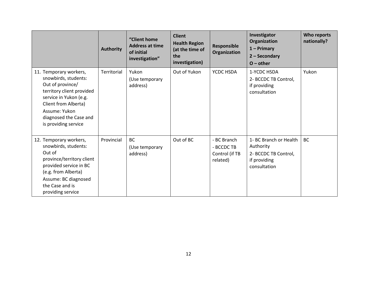|                                                                                                                                                                                                                      | <b>Authority</b> | "Client home<br><b>Address at time</b><br>of initial<br>investigation" | <b>Client</b><br><b>Health Region</b><br>(at the time of<br>the<br>investigation) | Responsible<br>Organization                             | Investigator<br>Organization<br>$1 - Primary$<br>2 - Secondary<br>$O$ – other               | Who reports<br>nationally? |
|----------------------------------------------------------------------------------------------------------------------------------------------------------------------------------------------------------------------|------------------|------------------------------------------------------------------------|-----------------------------------------------------------------------------------|---------------------------------------------------------|---------------------------------------------------------------------------------------------|----------------------------|
| 11. Temporary workers,<br>snowbirds, students:<br>Out of province/<br>territory client provided<br>service in Yukon (e.g.<br>Client from Alberta)<br>Assume: Yukon<br>diagnosed the Case and<br>is providing service | Territorial      | Yukon<br>(Use temporary<br>address)                                    | Out of Yukon                                                                      | YCDC HSDA                                               | 1-YCDC HSDA<br>2- BCCDC TB Control,<br>if providing<br>consultation                         | Yukon                      |
| 12. Temporary workers,<br>snowbirds, students:<br>Out of<br>province/territory client<br>provided service in BC<br>(e.g. from Alberta)<br>Assume: BC diagnosed<br>the Case and is<br>providing service               | Provincial       | <b>BC</b><br>(Use temporary<br>address)                                | Out of BC                                                                         | - BC Branch<br>- BCCDC TB<br>Control (if TB<br>related) | 1- BC Branch or Health<br>Authority<br>2- BCCDC TB Control,<br>if providing<br>consultation | <b>BC</b>                  |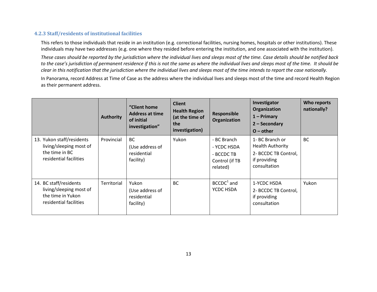#### <span id="page-12-0"></span>**4.2.3 Staff/residents of institutional facilities**

This refers to those individuals that reside in an institution (e.g. correctional facilities, nursing homes, hospitals or other institutions). These individuals may have two addresses (e.g. one where they resided before entering the institution, and one associated with the institution).

*These cases should be reported by the jurisdiction where the individual lives and sleeps most of the time. Case details should be notified back to the case's jurisdiction of permanent residence if this is not the same as where the individual lives and sleeps most of the time. It should be clear in this notification that the jurisdiction where the individual lives and sleeps most of the time intends to report the case nationally.* 

In Panorama, record Address at Time of Case as the address where the individual lives and sleeps most of the time and record Health Region as their permanent address.

|                                                                                                  | <b>Authority</b> | "Client home<br><b>Address at time</b><br>of initial<br>investigation" | <b>Client</b><br><b>Health Region</b><br>(at the time of<br>the<br>investigation) | Responsible<br>Organization                                            | Investigator<br>Organization<br>$1 - Primary$<br>$2 -$ Secondary<br>$O$ – other                    | Who reports<br>nationally? |
|--------------------------------------------------------------------------------------------------|------------------|------------------------------------------------------------------------|-----------------------------------------------------------------------------------|------------------------------------------------------------------------|----------------------------------------------------------------------------------------------------|----------------------------|
| 13. Yukon staff/residents<br>living/sleeping most of<br>the time in BC<br>residential facilities | Provincial       | BC<br>(Use address of<br>residential<br>facility)                      | Yukon                                                                             | - BC Branch<br>- YCDC HSDA<br>- BCCDC TB<br>Control (if TB<br>related) | 1- BC Branch or<br><b>Health Authority</b><br>2- BCCDC TB Control,<br>if providing<br>consultation | BC                         |
| 14. BC staff/residents<br>living/sleeping most of<br>the time in Yukon<br>residential facilities | Territorial      | Yukon<br>(Use address of<br>residential<br>facility)                   | <b>BC</b>                                                                         | $BCCDC1$ and<br>YCDC HSDA                                              | 1-YCDC HSDA<br>2- BCCDC TB Control,<br>if providing<br>consultation                                | Yukon                      |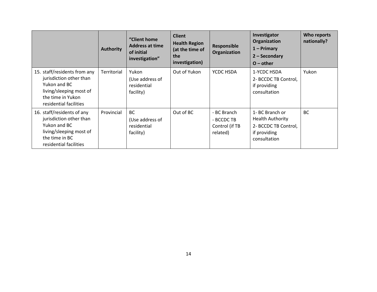|                                                                                                                                                   | <b>Authority</b> | "Client home<br><b>Address at time</b><br>of initial<br>investigation" | <b>Client</b><br><b>Health Region</b><br>(at the time of<br>the<br>investigation) | <b>Responsible</b><br>Organization                      | Investigator<br>Organization<br>1 – Primary<br>$2 -$ Secondary<br>$O$ – other                      | Who reports<br>nationally? |
|---------------------------------------------------------------------------------------------------------------------------------------------------|------------------|------------------------------------------------------------------------|-----------------------------------------------------------------------------------|---------------------------------------------------------|----------------------------------------------------------------------------------------------------|----------------------------|
| 15. staff/residents from any<br>jurisdiction other than<br>Yukon and BC<br>living/sleeping most of<br>the time in Yukon<br>residential facilities | Territorial      | Yukon<br>(Use address of<br>residential<br>facility)                   | Out of Yukon                                                                      | YCDC HSDA                                               | 1-YCDC HSDA<br>2- BCCDC TB Control,<br>if providing<br>consultation                                | Yukon                      |
| 16. staff/residents of any<br>jurisdiction other than<br>Yukon and BC<br>living/sleeping most of<br>the time in BC<br>residential facilities      | Provincial       | <b>BC</b><br>(Use address of<br>residential<br>facility)               | Out of BC                                                                         | - BC Branch<br>- BCCDC TB<br>Control (if TB<br>related) | 1- BC Branch or<br><b>Health Authority</b><br>2- BCCDC TB Control,<br>if providing<br>consultation | <b>BC</b>                  |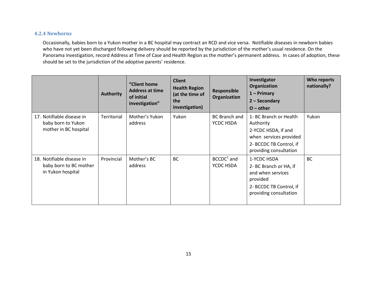#### <span id="page-14-0"></span>**4.2.4 Newborns**

Occasionally, babies born to a Yukon mother in a BC hospital may contract an RCD and vice versa. Notifiable diseases in newborn babies who have not yet been discharged following delivery should be reported by the jurisdiction of the mother's usual residence. On the Panorama investigation, record Address at Time of Case and Health Region as the mother's permanent address. In cases of adoption, these should be set to the jurisdiction of the adoptive parents' residence.

|                                                                          | <b>Authority</b> | "Client home<br><b>Address at time</b><br>of initial<br>investigation" | <b>Client</b><br><b>Health Region</b><br>(at the time of<br>the<br>investigation) | <b>Responsible</b><br>Organization | Investigator<br>Organization<br>$1 - Primary$<br>$2 -$ Secondary<br>$O$ – other                                                           | Who reports<br>nationally? |
|--------------------------------------------------------------------------|------------------|------------------------------------------------------------------------|-----------------------------------------------------------------------------------|------------------------------------|-------------------------------------------------------------------------------------------------------------------------------------------|----------------------------|
| 17. Notifiable disease in<br>baby born to Yukon<br>mother in BC hospital | Territorial      | Mother's Yukon<br>address                                              | Yukon                                                                             | BC Branch and<br>YCDC HSDA         | 1- BC Branch or Health<br>Authority<br>2-YCDC HSDA, if and<br>when services provided<br>2- BCCDC TB Control, if<br>providing consultation | Yukon                      |
| 18. Notifiable disease in<br>baby born to BC mother<br>in Yukon hospital | Provincial       | Mother's BC<br>address                                                 | <b>BC</b>                                                                         | $BCCDC1$ and<br>YCDC HSDA          | 1-YCDC HSDA<br>2- BC Branch or HA, if<br>and when services<br>provided<br>2- BCCDC TB Control, if<br>providing consultation               | <b>BC</b>                  |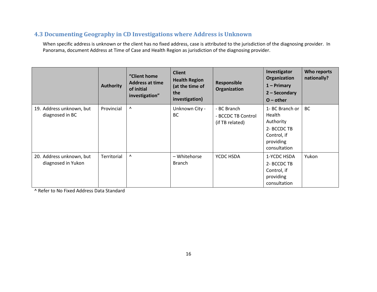## <span id="page-15-0"></span>**4.3 Documenting Geography in CD Investigations where Address is Unknown**

When specific address is unknown or the client has no fixed address, case is attributed to the jurisdiction of the diagnosing provider. In Panorama, document Address at Time of Case and Health Region as jurisdiction of the diagnosing provider.

|                                                | <b>Authority</b>   | "Client home<br><b>Address at time</b><br>of initial<br>investigation" | <b>Client</b><br><b>Health Region</b><br>(at the time of<br>the<br>investigation) | Responsible<br>Organization                          | Investigator<br>Organization<br>$1 - Primary$<br>$2 -$ Secondary<br>$O$ – other                          | Who reports<br>nationally? |
|------------------------------------------------|--------------------|------------------------------------------------------------------------|-----------------------------------------------------------------------------------|------------------------------------------------------|----------------------------------------------------------------------------------------------------------|----------------------------|
| 19. Address unknown, but<br>diagnosed in BC    | Provincial         | Λ                                                                      | Unknown City -<br><b>BC</b>                                                       | - BC Branch<br>- BCCDC TB Control<br>(if TB related) | 1- BC Branch or<br><b>Health</b><br>Authority<br>2- BCCDC TB<br>Control, if<br>providing<br>consultation | <b>BC</b>                  |
| 20. Address unknown, but<br>diagnosed in Yukon | <b>Territorial</b> | Λ                                                                      | - Whitehorse<br><b>Branch</b>                                                     | YCDC HSDA                                            | 1-YCDC HSDA<br>2- BCCDC TB<br>Control, if<br>providing<br>consultation                                   | Yukon                      |

^ Refer to No Fixed Address Data Standard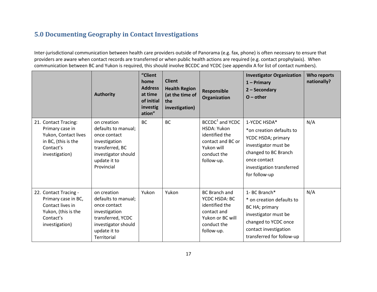# <span id="page-16-0"></span>**5.0 Documenting Geography in Contact Investigations**

Inter-jurisdictional communication between health care providers outside of Panorama (e.g. fax, phone) is often necessary to ensure that providers are aware when contact records are transferred or when public health actions are required (e.g. contact prophylaxis). When communication between BC and Yukon is required, this should involve BCCDC and YCDC (see appendix A for list of contact numbers).

|                                                                                                                        | <b>Authority</b>                                                                                                                               | "Client<br>home<br><b>Address</b><br>at time<br>of initial<br>investig<br>ation" | <b>Client</b><br><b>Health Region</b><br>(at the time of<br>the<br>investigation) | Responsible<br>Organization                                                                                               | <b>Investigator Organization</b><br>$1 - Primary$<br>2 - Secondary<br>$O$ – other                                                                                            | Who reports<br>nationally? |
|------------------------------------------------------------------------------------------------------------------------|------------------------------------------------------------------------------------------------------------------------------------------------|----------------------------------------------------------------------------------|-----------------------------------------------------------------------------------|---------------------------------------------------------------------------------------------------------------------------|------------------------------------------------------------------------------------------------------------------------------------------------------------------------------|----------------------------|
| 21. Contact Tracing:<br>Primary case in<br>Yukon, Contact lives<br>in BC, (this is the<br>Contact's<br>investigation)  | on creation<br>defaults to manual;<br>once contact<br>investigation<br>transferred, BC<br>investigator should<br>update it to<br>Provincial    | <b>BC</b>                                                                        | <b>BC</b>                                                                         | $BCCDC1$ and YCDC<br><b>HSDA: Yukon</b><br>identified the<br>contact and BC or<br>Yukon will<br>conduct the<br>follow-up. | 1-YCDC HSDA*<br>*on creation defaults to<br>YCDC HSDA; primary<br>investigator must be<br>changed to BC Branch<br>once contact<br>investigation transferred<br>for follow-up | N/A                        |
| 22. Contact Tracing -<br>Primary case in BC,<br>Contact lives in<br>Yukon, (this is the<br>Contact's<br>investigation) | on creation<br>defaults to manual;<br>once contact<br>investigation<br>transferred, YCDC<br>investigator should<br>update it to<br>Territorial | Yukon                                                                            | Yukon                                                                             | <b>BC Branch and</b><br>YCDC HSDA: BC<br>identified the<br>contact and<br>Yukon or BC will<br>conduct the<br>follow-up.   | 1- BC Branch*<br>* on creation defaults to<br>BC HA; primary<br>investigator must be<br>changed to YCDC once<br>contact investigation<br>transferred for follow-up           | N/A                        |